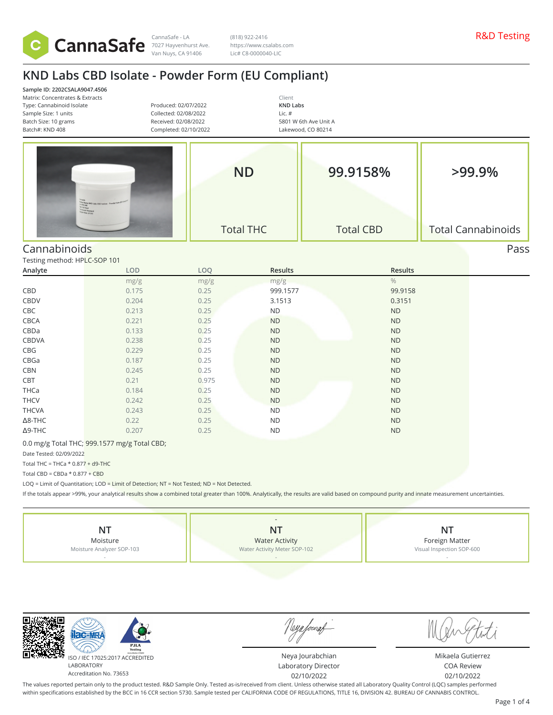

CannaSafe - LA R&D Testing 7027 Hayvenhurst Ave. Van Nuys, CA 91406

(818) 922-2416 https://www.csalabs.com Lic# C8-0000040-LIC

# **KND Labs CBD Isolate - Powder Form (EU Compliant)**

| Sample ID: 2202CSALA9047.4506<br>Matrix: Concentrates & Extracts<br>Type: Cannabinoid Isolate<br>Sample Size: 1 units<br>Batch Size: 10 grams<br>Batch#: KND 408 | Produced: 02/07/2022<br>Collected: 02/08/2022<br>Received: 02/08/2022<br>Completed: 02/10/2022           |       | Client<br><b>KND Labs</b><br>Lic. #<br>5801 W 6th Ave Unit A<br>Lakewood, CO 80214 |                  |                           |
|------------------------------------------------------------------------------------------------------------------------------------------------------------------|----------------------------------------------------------------------------------------------------------|-------|------------------------------------------------------------------------------------|------------------|---------------------------|
|                                                                                                                                                                  | <sup>10</sup> 101 Name: RND L<br>10. KN3 468<br><sup>102</sup> Fell Panel<br><sup>102</sup> Ente: 2/7/22 |       | <b>ND</b>                                                                          | 99.9158%         | $>99.9\%$                 |
|                                                                                                                                                                  |                                                                                                          |       | <b>Total THC</b>                                                                   | <b>Total CBD</b> | <b>Total Cannabinoids</b> |
| Cannabinoids                                                                                                                                                     |                                                                                                          |       |                                                                                    |                  | Pass                      |
| Testing method: HPLC-SOP 101                                                                                                                                     |                                                                                                          |       |                                                                                    |                  |                           |
| Analyte                                                                                                                                                          | LOD                                                                                                      | LOQ   | <b>Results</b>                                                                     | <b>Results</b>   |                           |
|                                                                                                                                                                  | mg/g                                                                                                     | mg/g  | mg/g                                                                               | $\frac{0}{0}$    |                           |
| CBD                                                                                                                                                              | 0.175                                                                                                    | 0.25  | 999.1577                                                                           | 99.9158          |                           |
| CBDV                                                                                                                                                             | 0.204                                                                                                    | 0.25  | 3.1513                                                                             | 0.3151           |                           |
| CBC                                                                                                                                                              | 0.213                                                                                                    | 0.25  | <b>ND</b>                                                                          | <b>ND</b>        |                           |
| CBCA                                                                                                                                                             | 0.221                                                                                                    | 0.25  | <b>ND</b>                                                                          | <b>ND</b>        |                           |
| CBDa                                                                                                                                                             | 0.133                                                                                                    | 0.25  | <b>ND</b>                                                                          | <b>ND</b>        |                           |
| CBDVA                                                                                                                                                            | 0.238                                                                                                    | 0.25  | <b>ND</b>                                                                          | <b>ND</b>        |                           |
| CBG                                                                                                                                                              | 0.229                                                                                                    | 0.25  | <b>ND</b>                                                                          | <b>ND</b>        |                           |
| CBGa                                                                                                                                                             | 0.187                                                                                                    | 0.25  | <b>ND</b>                                                                          | <b>ND</b>        |                           |
| <b>CBN</b>                                                                                                                                                       | 0.245                                                                                                    | 0.25  | <b>ND</b>                                                                          | <b>ND</b>        |                           |
| CBT                                                                                                                                                              | 0.21                                                                                                     | 0.975 | <b>ND</b>                                                                          | <b>ND</b>        |                           |
| THCa                                                                                                                                                             | 0.184                                                                                                    | 0.25  | <b>ND</b>                                                                          | <b>ND</b>        |                           |
| <b>THCV</b>                                                                                                                                                      | 0.242                                                                                                    | 0.25  | <b>ND</b>                                                                          | <b>ND</b>        |                           |
| <b>THCVA</b>                                                                                                                                                     | 0.243                                                                                                    | 0.25  | <b>ND</b>                                                                          | <b>ND</b>        |                           |
| $\Delta$ 8-THC                                                                                                                                                   | 0.22                                                                                                     | 0.25  | <b>ND</b>                                                                          | <b>ND</b>        |                           |
| $\Delta$ 9-THC                                                                                                                                                   | 0.207                                                                                                    | 0.25  | <b>ND</b>                                                                          | <b>ND</b>        |                           |

0.0 mg/g Total THC; 999.1577 mg/g Total CBD;

Date Tested: 02/09/2022

Total THC = THCa  $*$  0.877 + d9-THC

Total CBD =  $CBDa * 0.877 + CBD$ 

LOQ = Limit of Quantitation; LOD = Limit of Detection; NT = Not Tested; ND = Not Detected.

If the totals appear >99%, your analytical results show a combined total greater than 100%. Analytically, the results are valid based on compound purity and innate measurement uncertainties.



 $AC-M$ ISO / IEC 17025:2017 ACCREDITED LABORATORY Accreditation No. 73653

Neya fouraf

Neya Jourabchian Laboratory Director 02/10/2022

Mikaela Gutierrez COA Review 02/10/2022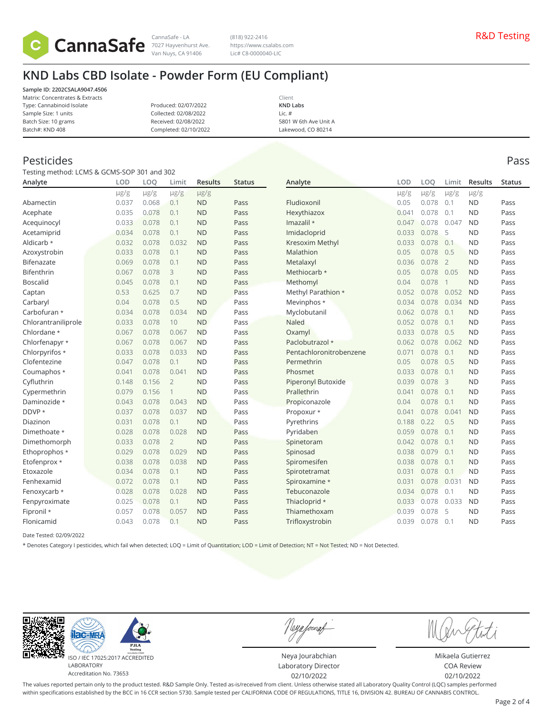

Van Nuys, CA 91406

(818) 922-2416 https://www.csalabs.com Lic# C8-0000040-LIC

## **KND Labs CBD Isolate - Powder Form (EU Compliant)**

**Sample ID: 2202CSALA9047.4506** Matrix: Concentrates & Extracts Type: Cannabinoid Isolate Sample Size: 1 units Batch Size: 10 grams Batch#: KND 408

Produced: 02/07/2022 Collected: 02/08/2022 Received: 02/08/2022 Completed: 02/10/2022

Client **KND Labs** Lic. # 5801 W 6th Ave Unit A Lakewood, CO 80214

### Pesticides Pass

| Testing method: LCMS & GCMS-SOP 301 and 302 |            |           |                |                |               |                         |            |           |                |           |        |
|---------------------------------------------|------------|-----------|----------------|----------------|---------------|-------------------------|------------|-----------|----------------|-----------|--------|
| Analyte                                     | <b>LOD</b> | LOQ       | Limit          | <b>Results</b> | <b>Status</b> | Analyte                 | <b>LOD</b> | LOQ       | Limit          | Results   | Status |
|                                             | $\mu$ g/g  | $\mu$ g/g | $\mu$ g/g      | $\mu$ g/g      |               |                         | $\mu$ g/g  | $\mu$ g/g | $\mu$ g/g      | $\mu$ g/g |        |
| Abamectin                                   | 0.037      | 0.068     | 0.1            | <b>ND</b>      | Pass          | Fludioxonil             | 0.05       | 0.078     | 0.1            | <b>ND</b> | Pass   |
| Acephate                                    | 0.035      | 0.078     | 0.1            | <b>ND</b>      | Pass          | Hexythiazox             | 0.041      | 0.078     | 0.1            | <b>ND</b> | Pass   |
| Acequinocyl                                 | 0.033      | 0.078     | 0.1            | <b>ND</b>      | Pass          | Imazalil *              | 0.047      | 0.078     | 0.047          | <b>ND</b> | Pass   |
| Acetamiprid                                 | 0.034      | 0.078     | 0.1            | <b>ND</b>      | Pass          | Imidacloprid            | 0.033      | 0.078     | 5              | <b>ND</b> | Pass   |
| Aldicarb *                                  | 0.032      | 0.078     | 0.032          | <b>ND</b>      | Pass          | Kresoxim Methyl         | 0.033      | 0.078     | 0.1            | <b>ND</b> | Pass   |
| Azoxystrobin                                | 0.033      | 0.078     | 0.1            | <b>ND</b>      | Pass          | Malathion               | 0.05       | 0.078     | 0.5            | <b>ND</b> | Pass   |
| Bifenazate                                  | 0.069      | 0.078     | 0.1            | <b>ND</b>      | Pass          | Metalaxyl               | 0.036      | 0.078     | $\overline{2}$ | <b>ND</b> | Pass   |
| Bifenthrin                                  | 0.067      | 0.078     | 3              | <b>ND</b>      | Pass          | Methiocarb *            | 0.05       | 0.078     | 0.05           | <b>ND</b> | Pass   |
| <b>Boscalid</b>                             | 0.045      | 0.078     | 0.1            | <b>ND</b>      | Pass          | Methomyl                | 0.04       | 0.078     | $\mathbf{1}$   | <b>ND</b> | Pass   |
| Captan                                      | 0.53       | 0.625     | 0.7            | <b>ND</b>      | Pass          | Methyl Parathion *      | 0.052      | 0.078     | 0.052          | <b>ND</b> | Pass   |
| Carbaryl                                    | 0.04       | 0.078     | 0.5            | <b>ND</b>      | Pass          | Mevinphos *             | 0.034      | 0.078     | 0.034          | <b>ND</b> | Pass   |
| Carbofuran *                                | 0.034      | 0.078     | 0.034          | <b>ND</b>      | Pass          | Myclobutanil            | 0.062      | 0.078     | 0.1            | <b>ND</b> | Pass   |
| Chlorantraniliprole                         | 0.033      | 0.078     | 10             | <b>ND</b>      | Pass          | Naled                   | 0.052      | 0.078     | 0.1            | <b>ND</b> | Pass   |
| Chlordane *                                 | 0.067      | 0.078     | 0.067          | <b>ND</b>      | Pass          | Oxamyl                  | 0.033      | 0.078     | 0.5            | <b>ND</b> | Pass   |
| Chlorfenapyr *                              | 0.067      | 0.078     | 0.067          | <b>ND</b>      | Pass          | Paclobutrazol *         | 0.062      | 0.078     | 0.062          | <b>ND</b> | Pass   |
| Chlorpyrifos *                              | 0.033      | 0.078     | 0.033          | <b>ND</b>      | Pass          | Pentachloronitrobenzene | 0.071      | 0.078     | 0.1            | <b>ND</b> | Pass   |
| Clofentezine                                | 0.047      | 0.078     | 0.1            | <b>ND</b>      | Pass          | Permethrin              | 0.05       | 0.078     | 0.5            | <b>ND</b> | Pass   |
| Coumaphos *                                 | 0.041      | 0.078     | 0.041          | <b>ND</b>      | Pass          | Phosmet                 | 0.033      | 0.078     | 0.1            | <b>ND</b> | Pass   |
| Cyfluthrin                                  | 0.148      | 0.156     | $\overline{2}$ | <b>ND</b>      | Pass          | Piperonyl Butoxide      | 0.039      | 0.078     | 3              | <b>ND</b> | Pass   |
| Cypermethrin                                | 0.079      | 0.156     | $\mathbf 1$    | <b>ND</b>      | Pass          | Prallethrin             | 0.041      | 0.078     | 0.1            | <b>ND</b> | Pass   |
| Daminozide *                                | 0.043      | 0.078     | 0.043          | <b>ND</b>      | Pass          | Propiconazole           | 0.04       | 0.078     | 0.1            | <b>ND</b> | Pass   |
| DDVP *                                      | 0.037      | 0.078     | 0.037          | <b>ND</b>      | Pass          | Propoxur *              | 0.041      | 0.078     | 0.041          | <b>ND</b> | Pass   |
| Diazinon                                    | 0.031      | 0.078     | 0.1            | <b>ND</b>      | Pass          | Pyrethrins              | 0.188      | 0.22      | 0.5            | <b>ND</b> | Pass   |
| Dimethoate *                                | 0.028      | 0.078     | 0.028          | <b>ND</b>      | Pass          | Pyridaben               | 0.059      | 0.078     | 0.1            | <b>ND</b> | Pass   |
| Dimethomorph                                | 0.033      | 0.078     | $\overline{2}$ | <b>ND</b>      | Pass          | Spinetoram              | 0.042      | 0.078     | 0.1            | <b>ND</b> | Pass   |
| Ethoprophos *                               | 0.029      | 0.078     | 0.029          | <b>ND</b>      | Pass          | Spinosad                | 0.038      | 0.079     | 0.1            | <b>ND</b> | Pass   |
| Etofenprox *                                | 0.038      | 0.078     | 0.038          | <b>ND</b>      | Pass          | Spiromesifen            | 0.038      | 0.078     | 0.1            | <b>ND</b> | Pass   |
| Etoxazole                                   | 0.034      | 0.078     | 0.1            | <b>ND</b>      | Pass          | Spirotetramat           | 0.031      | 0.078     | 0.1            | <b>ND</b> | Pass   |
| Fenhexamid                                  | 0.072      | 0.078     | 0.1            | <b>ND</b>      | Pass          | Spiroxamine *           | 0.031      | 0.078     | 0.031          | <b>ND</b> | Pass   |
| Fenoxycarb *                                | 0.028      | 0.078     | 0.028          | <b>ND</b>      | Pass          | Tebuconazole            | 0.034      | 0.078     | 0.1            | <b>ND</b> | Pass   |
| Fenpyroximate                               | 0.025      | 0.078     | 0.1            | <b>ND</b>      | Pass          | Thiacloprid *           | 0.033      | 0.078     | 0.033          | <b>ND</b> | Pass   |
| Fipronil *                                  | 0.057      | 0.078     | 0.057          | <b>ND</b>      | Pass          | Thiamethoxam            | 0.039      | 0.078     | 5              | <b>ND</b> | Pass   |
| Flonicamid                                  | 0.043      | 0.078     | 0.1            | <b>ND</b>      | Pass          | Trifloxystrobin         | 0.039      | 0.078     | 0.1            | <b>ND</b> | Pass   |
|                                             |            |           |                |                |               |                         |            |           |                |           |        |

Date Tested: 02/09/2022

\* Denotes Category I pesticides, which fail when detected; LOQ = Limit of Quantitation; LOD = Limit of Detection; NT = Not Tested; ND = Not Detected.



ISO / IEC 17025:2017 ACCREDITED Accreditation No. 73653

Neya fouraf

Neya Jourabchian Laboratory Director 02/10/2022

Mikaela Gutierrez COA Review 02/10/2022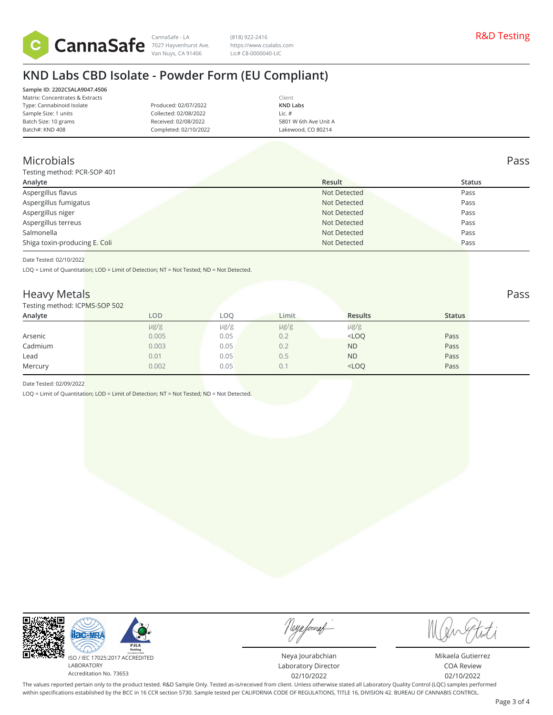

Van Nuys, CA 91406

CannaSafe - LA R&D Testing 7027 Hayvenhurst Ave. (818) 922-2416 https://www.csalabs.com Lic# C8-0000040-LIC

# **KND Labs CBD Isolate - Powder Form (EU Compliant)**

| Sample ID: 2202CSALA9047.4506   |
|---------------------------------|
| Matrix: Concentrates & Extracts |
| Type: Cannabinoid Isolate       |
| Sample Size: 1 units            |
| Batch Size: 10 grams            |
| Batch#: KND 408                 |
|                                 |

Produced: 02/07/2022 Collected: 02/08/2022 Received: 02/08/2022 Completed: 02/10/2022

Client **KND Labs** Lic. # 5801 W 6th Ave Unit A Lakewood, CO 80214

## Microbials Pass

| Testing method: PCR-SOP 401   |              |        |  |  |  |  |
|-------------------------------|--------------|--------|--|--|--|--|
| Analyte                       | Result       | Status |  |  |  |  |
| Aspergillus flavus            | Not Detected | Pass   |  |  |  |  |
| Aspergillus fumigatus         | Not Detected | Pass   |  |  |  |  |
| Aspergillus niger             | Not Detected | Pass   |  |  |  |  |
| Aspergillus terreus           | Not Detected | Pass   |  |  |  |  |
| Salmonella                    | Not Detected | Pass   |  |  |  |  |
| Shiga toxin-producing E. Coli | Not Detected | Pass   |  |  |  |  |

Date Tested: 02/10/2022

LOQ = Limit of Quantitation; LOD = Limit of Detection; NT = Not Tested; ND = Not Detected.

#### Heavy Metal<mark>s Pass and the contract of the contract of the contract of the contract of the contract of the contract of the contract of the contract of the contract of the contract of the contract of the contract of the con</mark>

| Testing method: ICPMS-SOP 502 |           |           |           |                |               |  |
|-------------------------------|-----------|-----------|-----------|----------------|---------------|--|
| Analyte                       | LOD       | LOO       | Limit     | <b>Results</b> | <b>Status</b> |  |
|                               | $\mu$ g/g | $\mu$ g/g | $\mu$ g/g | $\mu$ g/g      |               |  |
| Arsenic                       | 0.005     | 0.05      | 0.2       | $<$ LOQ        | Pass          |  |
| Cadmium                       | 0.003     | 0.05      | 0.2       | <b>ND</b>      | Pass          |  |
| Lead                          | 0.01      | 0.05      | 0.5       | <b>ND</b>      | Pass          |  |
| Mercury                       | 0.002     | 0.05      | 0.1       | $<$ LOQ        | Pass          |  |
|                               |           |           |           |                |               |  |

Date Tested: 02/09/2022

LOQ = Limit of Quantitation; LOD = Limit of Detection; NT = Not Tested; ND = Not Detected.



Neya fouraf

Neya Jourabchian Laboratory Director 02/10/2022

Mikaela Gutierrez COA Review 02/10/2022